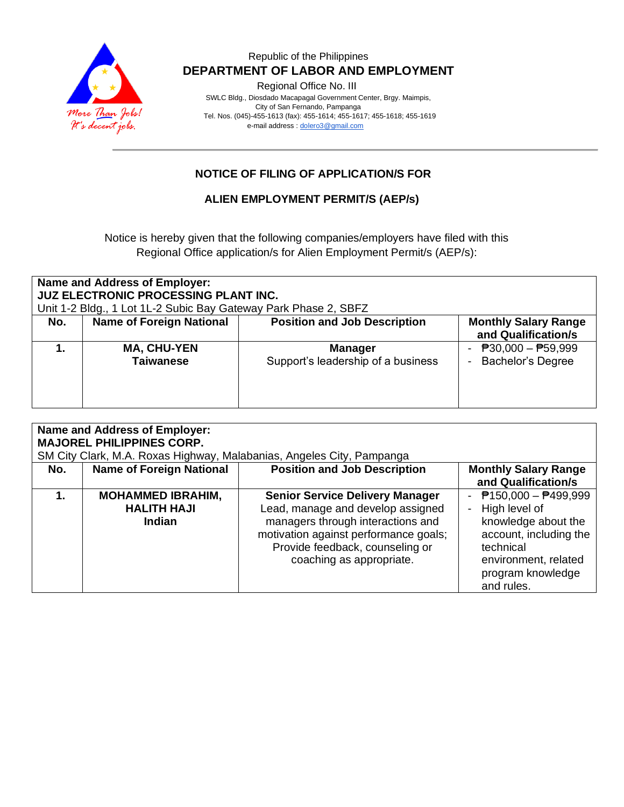

#### Republic of the Philippines  **DEPARTMENT OF LABOR AND EMPLOYMENT**

Regional Office No. III

 SWLC Bldg., Diosdado Macapagal Government Center, Brgy. Maimpis, City of San Fernando, Pampanga Tel. Nos. (045)-455-1613 (fax): 455-1614; 455-1617; 455-1618; 455-1619 e-mail address [: dolero3@gmail.com](mailto:dolero3@gmail.com)

### **NOTICE OF FILING OF APPLICATION/S FOR**

#### **ALIEN EMPLOYMENT PERMIT/S (AEP/s)**

Notice is hereby given that the following companies/employers have filed with this Regional Office application/s for Alien Employment Permit/s (AEP/s):

| <b>Name and Address of Employer:</b><br><b>JUZ ELECTRONIC PROCESSING PLANT INC.</b><br>Unit 1-2 Bldg., 1 Lot 1L-2 Subic Bay Gateway Park Phase 2, SBFZ |                                        |                                                      |                                                                       |  |  |  |
|--------------------------------------------------------------------------------------------------------------------------------------------------------|----------------------------------------|------------------------------------------------------|-----------------------------------------------------------------------|--|--|--|
| No.                                                                                                                                                    | <b>Name of Foreign National</b>        | <b>Position and Job Description</b>                  | <b>Monthly Salary Range</b><br>and Qualification/s                    |  |  |  |
|                                                                                                                                                        | <b>MA, CHU-YEN</b><br><b>Taiwanese</b> | <b>Manager</b><br>Support's leadership of a business | $\overline{P}30,000 - \overline{P}59,999$<br><b>Bachelor's Degree</b> |  |  |  |

| Name and Address of Employer:<br><b>MAJOREL PHILIPPINES CORP.</b><br>SM City Clark, M.A. Roxas Highway, Malabanias, Angeles City, Pampanga |                                                                 |                                                                                                                                                                                                                          |                                                                                                                                                                       |  |  |  |
|--------------------------------------------------------------------------------------------------------------------------------------------|-----------------------------------------------------------------|--------------------------------------------------------------------------------------------------------------------------------------------------------------------------------------------------------------------------|-----------------------------------------------------------------------------------------------------------------------------------------------------------------------|--|--|--|
| No.                                                                                                                                        | <b>Name of Foreign National</b>                                 | <b>Position and Job Description</b>                                                                                                                                                                                      | <b>Monthly Salary Range</b><br>and Qualification/s                                                                                                                    |  |  |  |
| 1.                                                                                                                                         | <b>MOHAMMED IBRAHIM,</b><br><b>HALITH HAJI</b><br><b>Indian</b> | <b>Senior Service Delivery Manager</b><br>Lead, manage and develop assigned<br>managers through interactions and<br>motivation against performance goals;<br>Provide feedback, counseling or<br>coaching as appropriate. | - $P$ 150,000 - $P$ 499,999<br>High level of<br>knowledge about the<br>account, including the<br>technical<br>environment, related<br>program knowledge<br>and rules. |  |  |  |